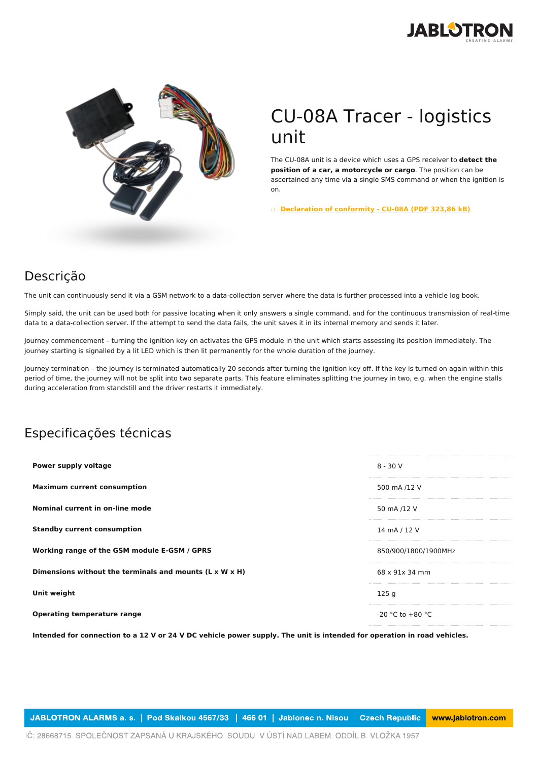



## CU-08A Tracer - logistics unit

The CU-08A unit is a device which uses a GPS receiver to **detect the position of a car, a motorcycle or cargo**. The position can be ascertained any time via a single SMS command or when the ignition is on.

○ **[Declaration](https://www.jablotron.com/pt/template/product/1505/?file=0&jt_id=23455&hash=e5KerE&do=downloadCertificate) of conformity - CU-08A (PDF 323,86 kB)**

## Descrição

The unit can continuously send it via a GSM network to a data-collection server where the data is further processed into a vehicle log book.

Simply said, the unit can be used both for passive locating when it only answers a single command, and for the continuous transmission of real-time data to a data-collection server. If the attempt to send the data fails, the unit saves it in its internal memory and sends it later.

Journey commencement – turning the ignition key on activates the GPS module in the unit which starts assessing its position immediately. The journey starting is signalled by a lit LED which is then lit permanently for the whole duration of the journey.

Journey termination – the journey is terminated automatically 20 seconds after turning the ignition key off. If the key is turned on again within this period of time, the journey will not be split into two separate parts. This feature eliminates splitting the journey in two, e.g. when the engine stalls during acceleration from standstill and the driver restarts it immediately.

## Especificações técnicas

| Power supply voltage                                    | $8 - 30V$            |
|---------------------------------------------------------|----------------------|
| <b>Maximum current consumption</b>                      | 500 mA /12 V         |
| Nominal current in on-line mode                         | 50 mA /12 V          |
| <b>Standby current consumption</b>                      | 14 mA / 12 V         |
| Working range of the GSM module E-GSM / GPRS            | 850/900/1800/1900MHz |
| Dimensions without the terminals and mounts (L x W x H) | 68 x 91x 34 mm       |
| Unit weight                                             | 125q                 |
| <b>Operating temperature range</b>                      | $-20$ °C to $+80$ °C |

Intended for connection to a 12 V or 24 V DC vehicle power supply. The unit is intended for operation in road vehicles.

JABLOTRON ALARMS a. s. | Pod Skalkou 4567/33 | 466 01 | Jablonec n. Nisou | Czech Republic www.jablotron.com